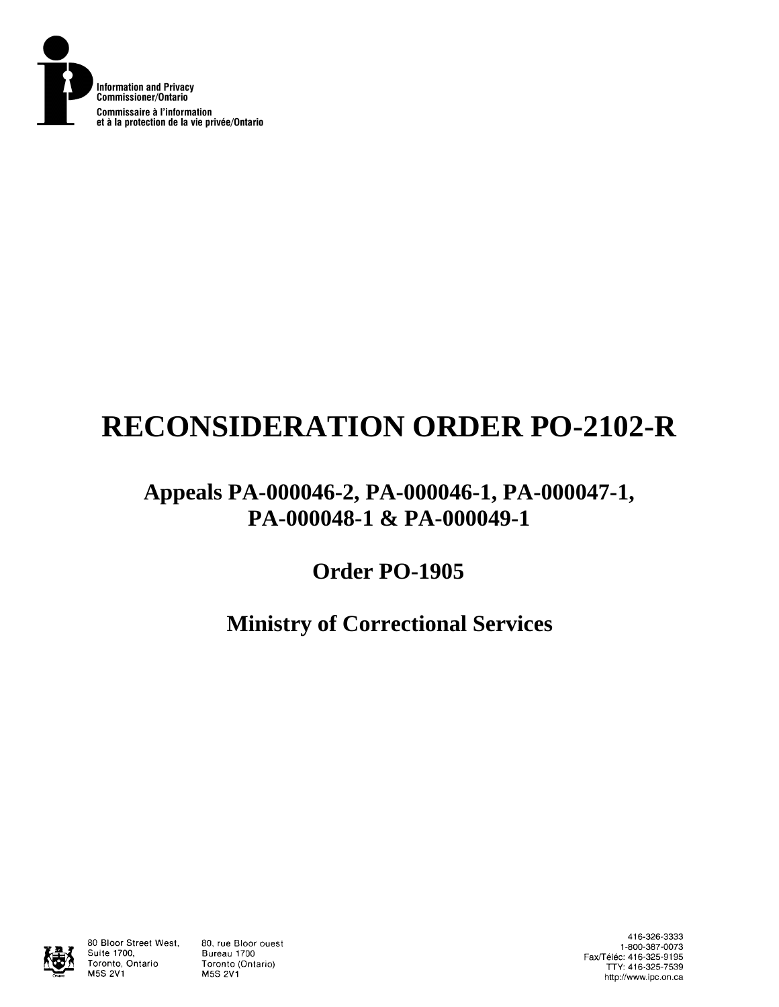

# **RECONSIDERATION ORDER PO-2102-R**

### **Appeals PA-000046-2, PA-000046-1, PA-000047-1, PA-000048-1 & PA-000049-1**

## **Order PO-1905**

## **Ministry of Correctional Services**



80 Bloor Street West, Suite 1700, Toronto, Ontario **M5S 2V1** 

80, rue Bloor ouest Bureau 1700 Toronto (Ontario) **M5S 2V1** 

416-326-3333 1-800-387-0073 Fax/Téléc: 416-325-9195 TTY: 416-325-7539 http://www.ipc.on.ca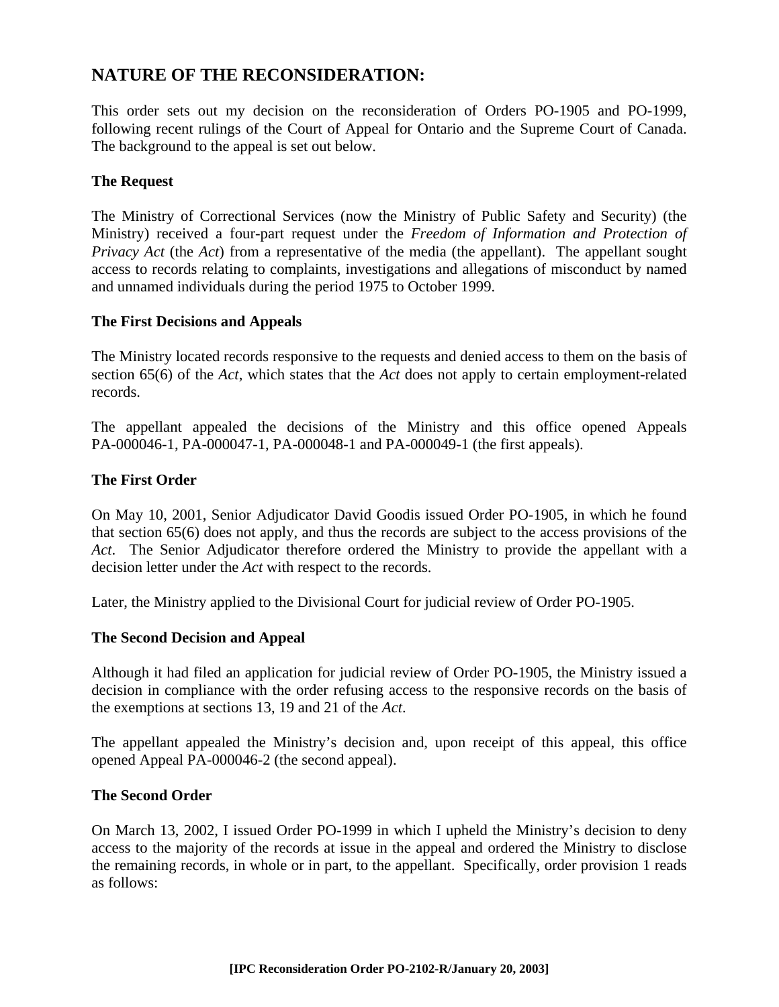### **NATURE OF THE RECONSIDERATION:**

This order sets out my decision on the reconsideration of Orders PO-1905 and PO-1999, following recent rulings of the Court of Appeal for Ontario and the Supreme Court of Canada. The background to the appeal is set out below.

#### **The Request**

The Ministry of Correctional Services (now the Ministry of Public Safety and Security) (the Ministry) received a four-part request under the *Freedom of Information and Protection of Privacy Act* (the *Act*) from a representative of the media (the appellant). The appellant sought access to records relating to complaints, investigations and allegations of misconduct by named and unnamed individuals during the period 1975 to October 1999.

#### **The First Decisions and Appeals**

The Ministry located records responsive to the requests and denied access to them on the basis of section 65(6) of the *Act*, which states that the *Act* does not apply to certain employment-related records.

The appellant appealed the decisions of the Ministry and this office opened Appeals PA-000046-1, PA-000047-1, PA-000048-1 and PA-000049-1 (the first appeals).

#### **The First Order**

On May 10, 2001, Senior Adjudicator David Goodis issued Order PO-1905, in which he found that section 65(6) does not apply, and thus the records are subject to the access provisions of the *Act*. The Senior Adjudicator therefore ordered the Ministry to provide the appellant with a decision letter under the *Act* with respect to the records.

Later, the Ministry applied to the Divisional Court for judicial review of Order PO-1905.

#### **The Second Decision and Appeal**

Although it had filed an application for judicial review of Order PO-1905, the Ministry issued a decision in compliance with the order refusing access to the responsive records on the basis of the exemptions at sections 13, 19 and 21 of the *Act*.

The appellant appealed the Ministry's decision and, upon receipt of this appeal, this office opened Appeal PA-000046-2 (the second appeal).

#### **The Second Order**

On March 13, 2002, I issued Order PO-1999 in which I upheld the Ministry's decision to deny access to the majority of the records at issue in the appeal and ordered the Ministry to disclose the remaining records, in whole or in part, to the appellant. Specifically, order provision 1 reads as follows: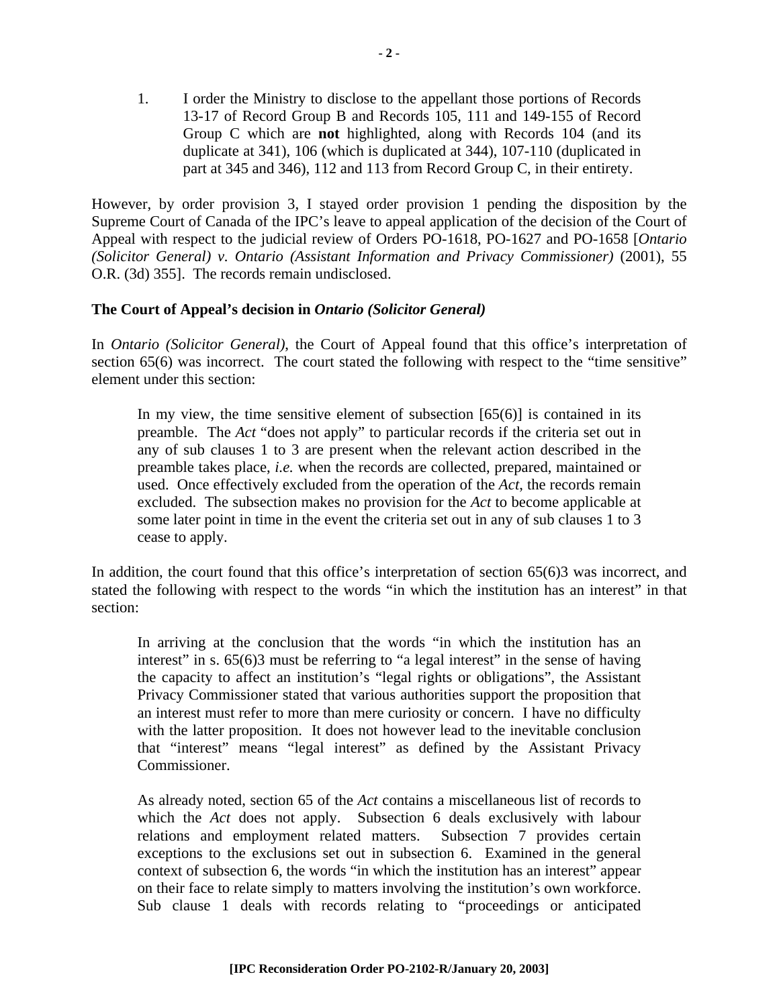1. I order the Ministry to disclose to the appellant those portions of Records 13-17 of Record Group B and Records 105, 111 and 149-155 of Record Group C which are **not** highlighted, along with Records 104 (and its duplicate at 341), 106 (which is duplicated at 344), 107-110 (duplicated in part at 345 and 346), 112 and 113 from Record Group C, in their entirety.

However, by order provision 3, I stayed order provision 1 pending the disposition by the Supreme Court of Canada of the IPC's leave to appeal application of the decision of the Court of Appeal with respect to the judicial review of Orders PO-1618, PO-1627 and PO-1658 [*Ontario (Solicitor General) v. Ontario (Assistant Information and Privacy Commissioner)* (2001), 55 O.R. (3d) 355]. The records remain undisclosed.

#### **The Court of Appeal's decision in** *Ontario (Solicitor General)*

In *Ontario (Solicitor General)*, the Court of Appeal found that this office's interpretation of section 65(6) was incorrect. The court stated the following with respect to the "time sensitive" element under this section:

In my view, the time sensitive element of subsection  $[65(6)]$  is contained in its preamble. The *Act* "does not apply" to particular records if the criteria set out in any of sub clauses 1 to 3 are present when the relevant action described in the preamble takes place, *i.e.* when the records are collected, prepared, maintained or used. Once effectively excluded from the operation of the *Act*, the records remain excluded. The subsection makes no provision for the *Act* to become applicable at some later point in time in the event the criteria set out in any of sub clauses 1 to 3 cease to apply.

In addition, the court found that this office's interpretation of section 65(6)3 was incorrect, and stated the following with respect to the words "in which the institution has an interest" in that section:

In arriving at the conclusion that the words "in which the institution has an interest" in s. 65(6)3 must be referring to "a legal interest" in the sense of having the capacity to affect an institution's "legal rights or obligations", the Assistant Privacy Commissioner stated that various authorities support the proposition that an interest must refer to more than mere curiosity or concern. I have no difficulty with the latter proposition. It does not however lead to the inevitable conclusion that "interest" means "legal interest" as defined by the Assistant Privacy Commissioner.

As already noted, section 65 of the *Act* contains a miscellaneous list of records to which the *Act* does not apply. Subsection 6 deals exclusively with labour relations and employment related matters. Subsection 7 provides certain exceptions to the exclusions set out in subsection 6. Examined in the general context of subsection 6, the words "in which the institution has an interest" appear on their face to relate simply to matters involving the institution's own workforce. Sub clause 1 deals with records relating to "proceedings or anticipated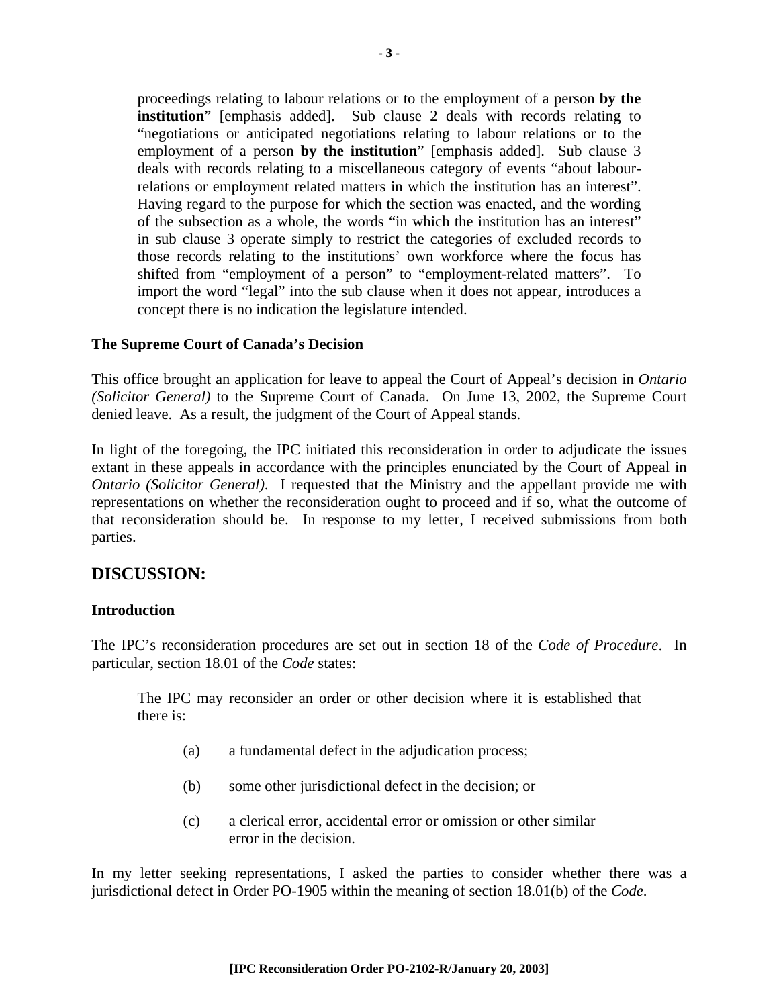proceedings relating to labour relations or to the employment of a person **by the institution**" [emphasis added]. Sub clause 2 deals with records relating to "negotiations or anticipated negotiations relating to labour relations or to the employment of a person **by the institution**" [emphasis added]. Sub clause 3 deals with records relating to a miscellaneous category of events "about labourrelations or employment related matters in which the institution has an interest". Having regard to the purpose for which the section was enacted, and the wording of the subsection as a whole, the words "in which the institution has an interest" in sub clause 3 operate simply to restrict the categories of excluded records to those records relating to the institutions' own workforce where the focus has shifted from "employment of a person" to "employment-related matters". To import the word "legal" into the sub clause when it does not appear, introduces a concept there is no indication the legislature intended.

#### **The Supreme Court of Canada's Decision**

This office brought an application for leave to appeal the Court of Appeal's decision in *Ontario (Solicitor General)* to the Supreme Court of Canada. On June 13, 2002, the Supreme Court denied leave. As a result, the judgment of the Court of Appeal stands.

In light of the foregoing, the IPC initiated this reconsideration in order to adjudicate the issues extant in these appeals in accordance with the principles enunciated by the Court of Appeal in *Ontario (Solicitor General)*. I requested that the Ministry and the appellant provide me with representations on whether the reconsideration ought to proceed and if so, what the outcome of that reconsideration should be. In response to my letter, I received submissions from both parties.

#### **DISCUSSION:**

#### **Introduction**

The IPC's reconsideration procedures are set out in section 18 of the *Code of Procedure*. In particular, section 18.01 of the *Code* states:

The IPC may reconsider an order or other decision where it is established that there is:

- (a) a fundamental defect in the adjudication process;
- (b) some other jurisdictional defect in the decision; or
- (c) a clerical error, accidental error or omission or other similar error in the decision.

In my letter seeking representations, I asked the parties to consider whether there was a jurisdictional defect in Order PO-1905 within the meaning of section 18.01(b) of the *Code*.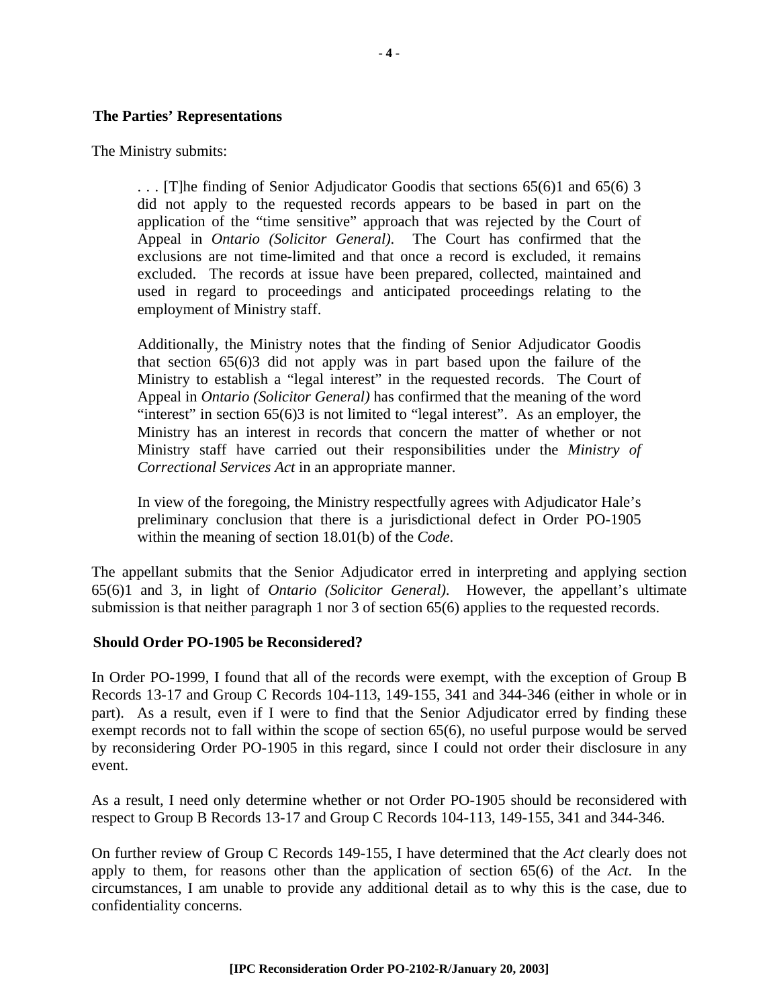#### **The Parties' Representations**

The Ministry submits:

. . . [T]he finding of Senior Adjudicator Goodis that sections 65(6)1 and 65(6) 3 did not apply to the requested records appears to be based in part on the application of the "time sensitive" approach that was rejected by the Court of Appeal in *Ontario (Solicitor General)*. The Court has confirmed that the exclusions are not time-limited and that once a record is excluded, it remains excluded. The records at issue have been prepared, collected, maintained and used in regard to proceedings and anticipated proceedings relating to the employment of Ministry staff.

Additionally, the Ministry notes that the finding of Senior Adjudicator Goodis that section 65(6)3 did not apply was in part based upon the failure of the Ministry to establish a "legal interest" in the requested records. The Court of Appeal in *Ontario (Solicitor General)* has confirmed that the meaning of the word "interest" in section 65(6)3 is not limited to "legal interest". As an employer, the Ministry has an interest in records that concern the matter of whether or not Ministry staff have carried out their responsibilities under the *Ministry of Correctional Services Act* in an appropriate manner.

In view of the foregoing, the Ministry respectfully agrees with Adjudicator Hale's preliminary conclusion that there is a jurisdictional defect in Order PO-1905 within the meaning of section 18.01(b) of the *Code*.

The appellant submits that the Senior Adjudicator erred in interpreting and applying section 65(6)1 and 3, in light of *Ontario (Solicitor General)*. However, the appellant's ultimate submission is that neither paragraph 1 nor 3 of section 65(6) applies to the requested records.

#### **Should Order PO-1905 be Reconsidered?**

In Order PO-1999, I found that all of the records were exempt, with the exception of Group B Records 13-17 and Group C Records 104-113, 149-155, 341 and 344-346 (either in whole or in part). As a result, even if I were to find that the Senior Adjudicator erred by finding these exempt records not to fall within the scope of section 65(6), no useful purpose would be served by reconsidering Order PO-1905 in this regard, since I could not order their disclosure in any event.

As a result, I need only determine whether or not Order PO-1905 should be reconsidered with respect to Group B Records 13-17 and Group C Records 104-113, 149-155, 341 and 344-346.

On further review of Group C Records 149-155, I have determined that the *Act* clearly does not apply to them, for reasons other than the application of section 65(6) of the *Act*. In the circumstances, I am unable to provide any additional detail as to why this is the case, due to confidentiality concerns.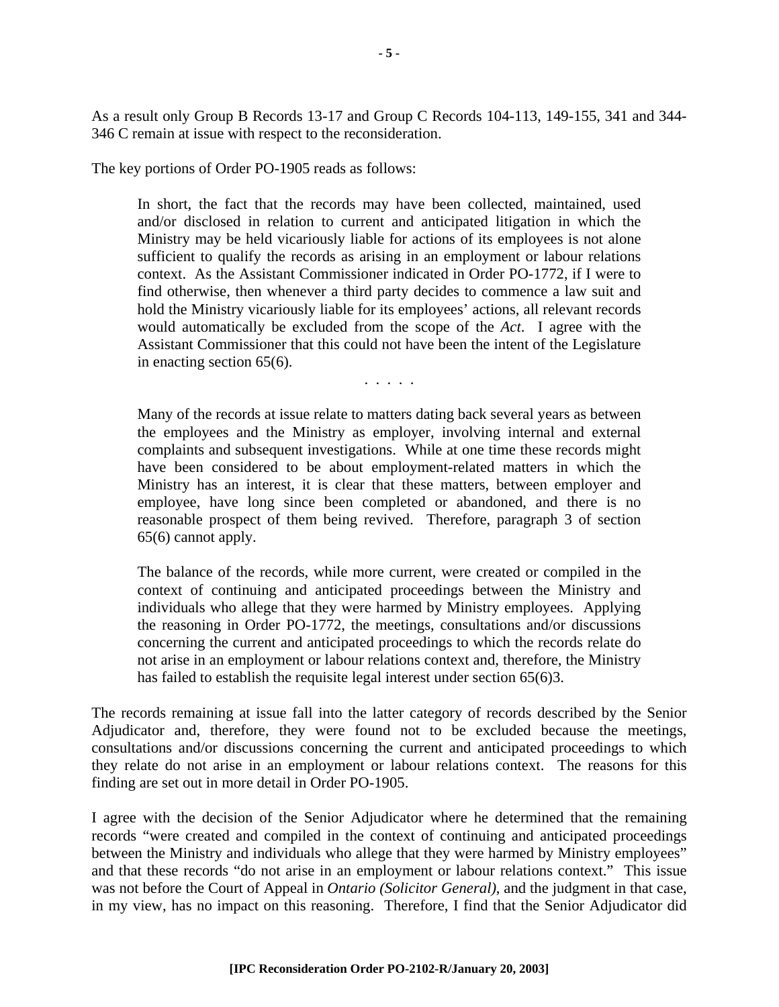As a result only Group B Records 13-17 and Group C Records 104-113, 149-155, 341 and 344- 346 C remain at issue with respect to the reconsideration.

The key portions of Order PO-1905 reads as follows:

In short, the fact that the records may have been collected, maintained, used and/or disclosed in relation to current and anticipated litigation in which the Ministry may be held vicariously liable for actions of its employees is not alone sufficient to qualify the records as arising in an employment or labour relations context. As the Assistant Commissioner indicated in Order PO-1772, if I were to find otherwise, then whenever a third party decides to commence a law suit and hold the Ministry vicariously liable for its employees' actions, all relevant records would automatically be excluded from the scope of the *Act*. I agree with the Assistant Commissioner that this could not have been the intent of the Legislature in enacting section 65(6).

. . . . .

Many of the records at issue relate to matters dating back several years as between the employees and the Ministry as employer, involving internal and external complaints and subsequent investigations. While at one time these records might have been considered to be about employment-related matters in which the Ministry has an interest, it is clear that these matters, between employer and employee, have long since been completed or abandoned, and there is no reasonable prospect of them being revived. Therefore, paragraph 3 of section 65(6) cannot apply.

The balance of the records, while more current, were created or compiled in the context of continuing and anticipated proceedings between the Ministry and individuals who allege that they were harmed by Ministry employees. Applying the reasoning in Order PO-1772, the meetings, consultations and/or discussions concerning the current and anticipated proceedings to which the records relate do not arise in an employment or labour relations context and, therefore, the Ministry has failed to establish the requisite legal interest under section 65(6)3.

The records remaining at issue fall into the latter category of records described by the Senior Adjudicator and, therefore, they were found not to be excluded because the meetings, consultations and/or discussions concerning the current and anticipated proceedings to which they relate do not arise in an employment or labour relations context. The reasons for this finding are set out in more detail in Order PO-1905.

I agree with the decision of the Senior Adjudicator where he determined that the remaining records "were created and compiled in the context of continuing and anticipated proceedings between the Ministry and individuals who allege that they were harmed by Ministry employees" and that these records "do not arise in an employment or labour relations context." This issue was not before the Court of Appeal in *Ontario (Solicitor General)*, and the judgment in that case, in my view, has no impact on this reasoning. Therefore, I find that the Senior Adjudicator did